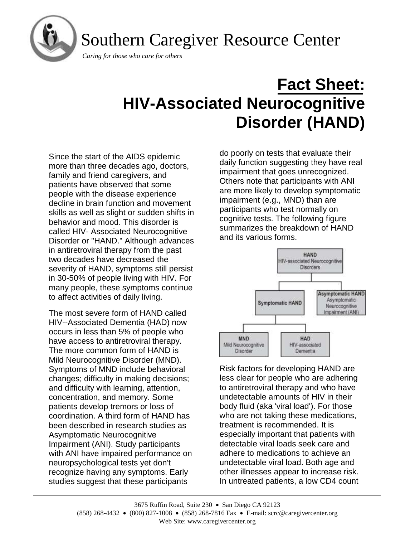

Southern Caregiver Resource Center

*Caring for those who care for others*

# **Fact Sheet: HIV-Associated Neurocognitive Disorder (HAND)**

Since the start of the AIDS epidemic more than three decades ago, doctors, family and friend caregivers, and patients have observed that some people with the disease experience decline in brain function and movement skills as well as slight or sudden shifts in behavior and mood. This disorder is called HIV- Associated Neurocognitive Disorder or "HAND." Although advances in antiretroviral therapy from the past two decades have decreased the severity of HAND, symptoms still persist in 30-50% of people living with HIV. For many people, these symptoms continue to affect activities of daily living.

The most severe form of HAND called HIV--Associated Dementia (HAD) now occurs in less than 5% of people who have access to antiretroviral therapy. The more common form of HAND is Mild Neurocognitive Disorder (MND). Symptoms of MND include behavioral changes; difficulty in making decisions; and difficulty with learning, attention, concentration, and memory. Some patients develop tremors or loss of coordination. A third form of HAND has been described in research studies as Asymptomatic Neurocognitive Impairment (ANI). Study participants with ANI have impaired performance on neuropsychological tests yet don't recognize having any symptoms. Early studies suggest that these participants

do poorly on tests that evaluate their daily function suggesting they have real impairment that goes unrecognized. Others note that participants with ANI are more likely to develop symptomatic impairment (e.g., MND) than are participants who test normally on cognitive tests. The following figure summarizes the breakdown of HAND and its various forms.



Risk factors for developing HAND are less clear for people who are adhering to antiretroviral therapy and who have undetectable amounts of HIV in their body fluid (aka 'viral load'). For those who are not taking these medications, treatment is recommended. It is especially important that patients with detectable viral loads seek care and adhere to medications to achieve an undetectable viral load. Both age and other illnesses appear to increase risk. In untreated patients, a low CD4 count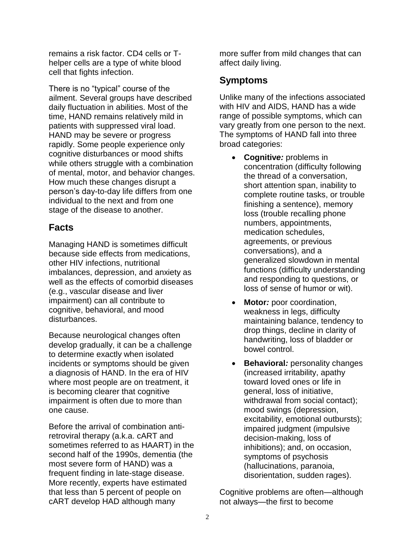remains a risk factor. CD4 cells or Thelper cells are a type of white blood cell that fights infection.

There is no "typical" course of the ailment. Several groups have described daily fluctuation in abilities. Most of the time, HAND remains relatively mild in patients with suppressed viral load. HAND may be severe or progress rapidly. Some people experience only cognitive disturbances or mood shifts while others struggle with a combination of mental, motor, and behavior changes. How much these changes disrupt a person's day-to-day life differs from one individual to the next and from one stage of the disease to another.

## **Facts**

Managing HAND is sometimes difficult because side effects from medications, other HIV infections, nutritional imbalances, depression, and anxiety as well as the effects of comorbid diseases (e.g., vascular disease and liver impairment) can all contribute to cognitive, behavioral, and mood disturbances.

Because neurological changes often develop gradually, it can be a challenge to determine exactly when isolated incidents or symptoms should be given a diagnosis of HAND. In the era of HIV where most people are on treatment, it is becoming clearer that cognitive impairment is often due to more than one cause.

Before the arrival of combination antiretroviral therapy (a.k.a. cART and sometimes referred to as HAART) in the second half of the 1990s, dementia (the most severe form of HAND) was a frequent finding in late-stage disease. More recently, experts have estimated that less than 5 percent of people on cART develop HAD although many

more suffer from mild changes that can affect daily living.

# **Symptoms**

Unlike many of the infections associated with HIV and AIDS, HAND has a wide range of possible symptoms, which can vary greatly from one person to the next. The symptoms of HAND fall into three broad categories:

- **Cognitiv***e:* problems in concentration (difficulty following the thread of a conversation, short attention span, inability to complete routine tasks, or trouble finishing a sentence), memory loss (trouble recalling phone numbers, appointments, medication schedules, agreements, or previous conversations), and a generalized slowdown in mental functions (difficulty understanding and responding to questions, or loss of sense of humor or wit).
- **Motor***:* poor coordination, weakness in legs, difficulty maintaining balance, tendency to drop things, decline in clarity of handwriting, loss of bladder or bowel control.
- **Behavioral***:* personality changes (increased irritability, apathy toward loved ones or life in general, loss of initiative, withdrawal from social contact); mood swings (depression, excitability, emotional outbursts); impaired judgment (impulsive decision-making, loss of inhibitions); and, on occasion, symptoms of psychosis (hallucinations, paranoia, disorientation, sudden rages).

Cognitive problems are often—although not always—the first to become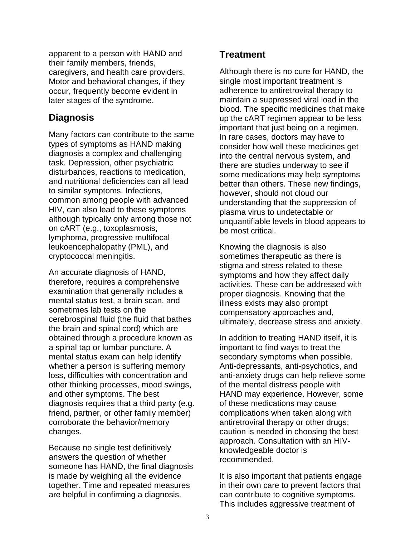apparent to a person with HAND and their family members, friends, caregivers, and health care providers. Motor and behavioral changes, if they occur, frequently become evident in later stages of the syndrome.

## **Diagnosis**

Many factors can contribute to the same types of symptoms as HAND making diagnosis a complex and challenging task. Depression, other psychiatric disturbances, reactions to medication, and nutritional deficiencies can all lead to similar symptoms. Infections, common among people with advanced HIV, can also lead to these symptoms although typically only among those not on cART (e.g., toxoplasmosis, lymphoma, progressive multifocal leukoencephalopathy (PML), and cryptococcal meningitis.

An accurate diagnosis of HAND, therefore, requires a comprehensive examination that generally includes a mental status test, a brain scan, and sometimes lab tests on the cerebrospinal fluid (the fluid that bathes the brain and spinal cord) which are obtained through a procedure known as a spinal tap or lumbar puncture. A mental status exam can help identify whether a person is suffering memory loss, difficulties with concentration and other thinking processes, mood swings, and other symptoms. The best diagnosis requires that a third party (e.g. friend, partner, or other family member) corroborate the behavior/memory changes.

Because no single test definitively answers the question of whether someone has HAND, the final diagnosis is made by weighing all the evidence together. Time and repeated measures are helpful in confirming a diagnosis.

## **Treatment**

Although there is no cure for HAND, the single most important treatment is adherence to antiretroviral therapy to maintain a suppressed viral load in the blood. The specific medicines that make up the cART regimen appear to be less important that just being on a regimen. In rare cases, doctors may have to consider how well these medicines get into the central nervous system, and there are studies underway to see if some medications may help symptoms better than others. These new findings, however, should not cloud our understanding that the suppression of plasma virus to undetectable or unquantifiable levels in blood appears to be most critical.

Knowing the diagnosis is also sometimes therapeutic as there is stigma and stress related to these symptoms and how they affect daily activities. These can be addressed with proper diagnosis. Knowing that the illness exists may also prompt compensatory approaches and, ultimately, decrease stress and anxiety.

In addition to treating HAND itself, it is important to find ways to treat the secondary symptoms when possible. Anti-depressants, anti-psychotics, and anti-anxiety drugs can help relieve some of the mental distress people with HAND may experience. However, some of these medications may cause complications when taken along with antiretroviral therapy or other drugs; caution is needed in choosing the best approach. Consultation with an HIVknowledgeable doctor is recommended.

It is also important that patients engage in their own care to prevent factors that can contribute to cognitive symptoms. This includes aggressive treatment of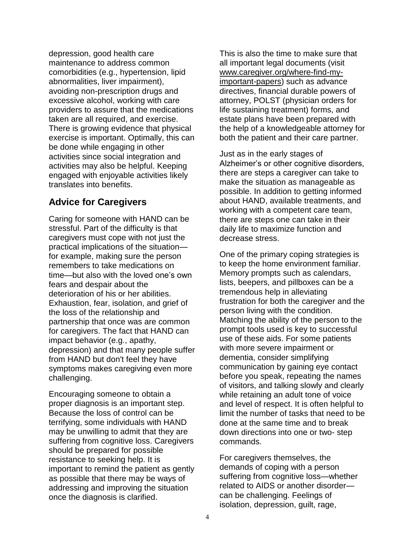depression, good health care maintenance to address common comorbidities (e.g., hypertension, lipid abnormalities, liver impairment), avoiding non-prescription drugs and excessive alcohol, working with care providers to assure that the medications taken are all required, and exercise. There is growing evidence that physical exercise is important. Optimally, this can be done while engaging in other activities since social integration and activities may also be helpful. Keeping engaged with enjoyable activities likely translates into benefits.

## **Advice for Caregivers**

Caring for someone with HAND can be stressful. Part of the difficulty is that caregivers must cope with not just the practical implications of the situation for example, making sure the person remembers to take medications on time—but also with the loved one's own fears and despair about the deterioration of his or her abilities. Exhaustion, fear, isolation, and grief of the loss of the relationship and partnership that once was are common for caregivers. The fact that HAND can impact behavior (e.g., apathy, depression) and that many people suffer from HAND but don't feel they have symptoms makes caregiving even more challenging.

Encouraging someone to obtain a proper diagnosis is an important step. Because the loss of control can be terrifying, some individuals with HAND may be unwilling to admit that they are suffering from cognitive loss. Caregivers should be prepared for possible resistance to seeking help. It is important to remind the patient as gently as possible that there may be ways of addressing and improving the situation once the diagnosis is clarified.

This is also the time to make sure that all important legal documents (visit [www.caregiver.org/where-find-my](http://www.caregiver.org/where-find-my-important-papers)[important-papers\)](http://www.caregiver.org/where-find-my-important-papers) such as advance directives, financial durable powers of attorney, POLST (physician orders for life sustaining treatment) forms, and estate plans have been prepared with the help of a knowledgeable attorney for both the patient and their care partner.

Just as in the early stages of Alzheimer's or other cognitive disorders, there are steps a caregiver can take to make the situation as manageable as possible. In addition to getting informed about HAND, available treatments, and working with a competent care team, there are steps one can take in their daily life to maximize function and decrease stress.

One of the primary coping strategies is to keep the home environment familiar. Memory prompts such as calendars, lists, beepers, and pillboxes can be a tremendous help in alleviating frustration for both the caregiver and the person living with the condition. Matching the ability of the person to the prompt tools used is key to successful use of these aids. For some patients with more severe impairment or dementia, consider simplifying communication by gaining eye contact before you speak, repeating the names of visitors, and talking slowly and clearly while retaining an adult tone of voice and level of respect. It is often helpful to limit the number of tasks that need to be done at the same time and to break down directions into one or two- step commands.

For caregivers themselves, the demands of coping with a person suffering from cognitive loss—whether related to AIDS or another disorder can be challenging. Feelings of isolation, depression, guilt, rage,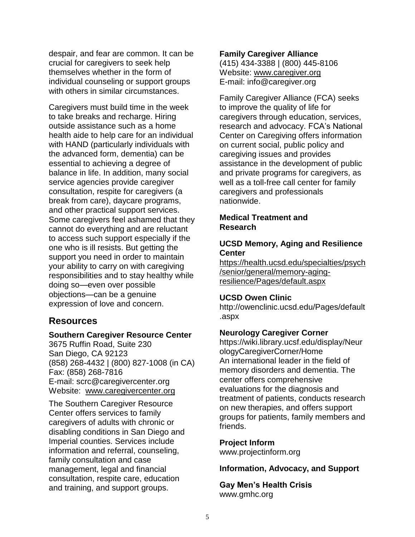despair, and fear are common. It can be crucial for caregivers to seek help themselves whether in the form of individual counseling or support groups with others in similar circumstances.

Caregivers must build time in the week to take breaks and recharge. Hiring outside assistance such as a home health aide to help care for an individual with HAND (particularly individuals with the advanced form, dementia) can be essential to achieving a degree of balance in life. In addition, many social service agencies provide caregiver consultation, respite for caregivers (a break from care), daycare programs, and other practical support services. Some caregivers feel ashamed that they cannot do everything and are reluctant to access such support especially if the one who is ill resists. But getting the support you need in order to maintain your ability to carry on with caregiving responsibilities and to stay healthy while doing so—even over possible objections—can be a genuine expression of love and concern.

## **Resources**

### **Southern Caregiver Resource Center**

3675 Ruffin Road, Suite 230 San Diego, CA 92123 (858) 268-4432 | (800) 827-1008 (in CA) Fax: (858) 268-7816 E-mail: [scrc@caregivercenter.org](mailto:scrc@caregivercenter.org) Website: [www.caregivercenter.org](http://www.caregivercenter.org/)

The Southern Caregiver Resource Center offers services to family caregivers of adults with chronic or disabling conditions in San Diego and Imperial counties. Services include information and referral, counseling, family consultation and case management, legal and financial consultation, respite care, education and training, and support groups.

#### **Family Caregiver Alliance**

(415) 434-3388 | (800) 445-8106 Website: [www.caregiver.org](http://www.caregiver.org/) E-mail: [info@caregiver.org](mailto:info@caregiver.org)

Family Caregiver Alliance (FCA) seeks to improve the quality of life for caregivers through education, services, research and advocacy. FCA's National Center on Caregiving offers information on current social, public policy and caregiving issues and provides assistance in the development of public and private programs for caregivers, as well as a toll-free call center for family caregivers and professionals nationwide.

### **Medical Treatment and Research**

## **UCSD Memory, Aging and Resilience Center**

[https://health.ucsd.edu/specialties/psych](https://health.ucsd.edu/specialties/psych/senior/general/memory-aging-resilience/Pages/default.aspx) [/senior/general/memory-aging](https://health.ucsd.edu/specialties/psych/senior/general/memory-aging-resilience/Pages/default.aspx)[resilience/Pages/default.aspx](https://health.ucsd.edu/specialties/psych/senior/general/memory-aging-resilience/Pages/default.aspx)

### **UCSD Owen Clinic**

http://owenclinic.ucsd.edu/Pages/default .aspx

### **Neurology Caregiver Corner**

https://wiki.library.ucsf.edu/display/Neur ologyCaregiverCorner/Home An international leader in the field of memory disorders and dementia. The center offers comprehensive evaluations for the diagnosis and treatment of patients, conducts research on new therapies, and offers support groups for patients, family members and friends.

#### **Project Inform**

www.projectinform.org

**Information, Advocacy, and Support**

**Gay Men's Health Crisis** www.gmhc.org